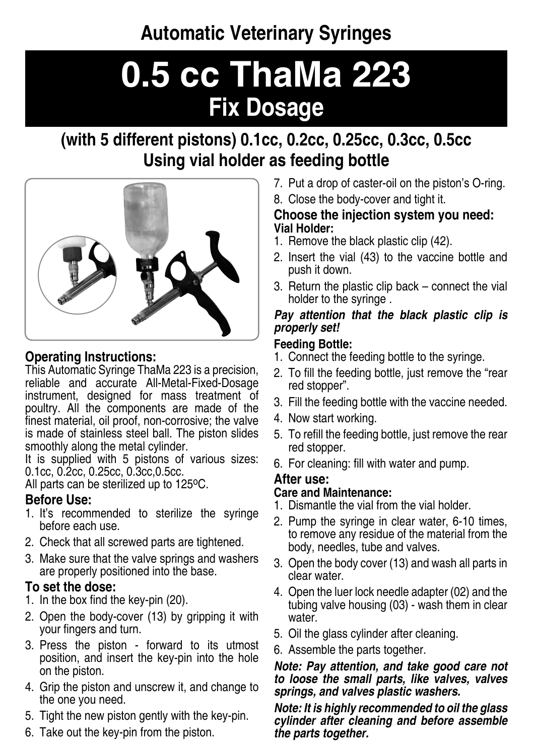**Automatic Veterinary Syringes** 

# **0.5 cc ThaMa 223 Fix Dosage**

# (with 5 different pistons) 0.1cc. 0.2cc. 0.25cc. 0.3cc. 0.5cc **Using vial holder as feeding bottle**



# **Operating Instructions:**

This Automatic Syringe ThaMa 223 is a precision. reliable and accurate All-Metal-Fixed-Dosage instrument, designed for mass treatment of poultry. All the components are made of the finest material, oil proof, non-corrosive; the valve is made of stainless steel ball. The piston slides smoothly along the metal cylinder.

It is supplied with 5 pistons of various sizes: 0.1cc, 0.2cc, 0.25cc, 0.3cc, 0.5cc.

All parts can be sterilized up to  $125^{\circ}$ C.

# **Before Use:**

- 1. It's recommended to sterilize the syringe before each use.
- 2. Check that all screwed parts are tightened.
- 3. Make sure that the valve springs and washers are properly positioned into the base.

# To set the dose:

- 1. In the box find the key-pin  $(20)$ .
- 2. Open the body-cover (13) by gripping it with your fingers and turn.
- 3. Press the piston forward to its utmost position, and insert the key-pin into the hole on the piston.
- 4. Grip the piston and unscrew it, and change to the one you need.
- 5. Tight the new piston gently with the key-pin.
- 6. Take out the key-pin from the piston.
- 7. Put a drop of caster-oil on the piston's O-ring.
- 8. Close the body-cover and tight it.

#### **Choose the injection system you need: Vial Holder:**

- 1. Remove the black plastic clip (42).
- 2. Insert the vial (43) to the vaccine bottle and push it down.
- 3. Return the plastic clip back connect the vial holder to the syringe.

#### *Pay attention that the black plastic clip is !set properly*

#### **Feeding Bottle:**

- 1. Connect the feeding bottle to the syringe.
- 2. To fill the feeding bottle, just remove the "rear red stopper".
- 3. Fill the feeding bottle with the vaccine needed.
- 4. Now start working.
- 5. To refill the feeding bottle, just remove the rear red stopper.
- 6. For cleaning: fill with water and pump.

### **After** use:

#### **Care and Maintenance:**

- 1. Dismantle the vial from the vial holder
- 2. Pump the syringe in clear water, 6-10 times, to remove any residue of the material from the body, needles, tube and valves.
- 3. Open the body cover (13) and wash all parts in clear water.
- 4. Open the luer lock needle adapter (02) and the tubing valve housing  $(03)$  - wash them in clear water.
- 5. Oil the glass cylinder after cleaning.
- 6. Assemble the parts together.

#### *Note: Pay attention, and take good care not* to loose the small parts, like valves, valves springs, and valves plastic washers.

*Note: It is highly recommended to oil the glass cylinder after cleaning and before assemble the parts together.*